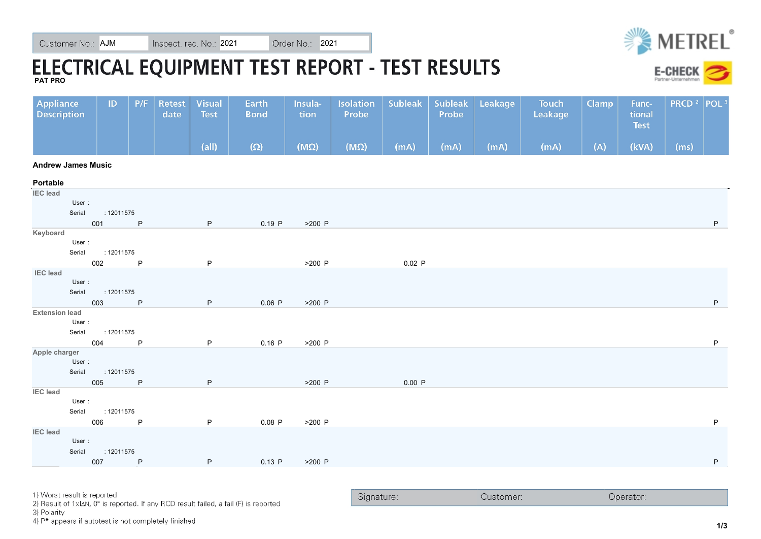| utotest is not completely finished |  |
|------------------------------------|--|

## **ELECTRICAL EQUIPMENT TEST REPORT - TEST RESULTS**

| <b>Appliance</b><br><b>Description</b> |                           | ID         | P/F         | <b>Retest</b><br>date | <b>Visual</b><br><b>Test</b>            | <b>Earth</b><br><b>Bond</b> | Insula-<br>tion | <b>Isolation</b><br>Probe | <b>Subleak</b> | <b>Subleak</b><br>Probe | Leakage   | <b>Touch</b><br>Leakage | <b>Clamp</b> | Func-<br>tional<br><b>Test</b> | <b>PRCD</b> <sup>2</sup> POL <sup>3</sup> |              |
|----------------------------------------|---------------------------|------------|-------------|-----------------------|-----------------------------------------|-----------------------------|-----------------|---------------------------|----------------|-------------------------|-----------|-------------------------|--------------|--------------------------------|-------------------------------------------|--------------|
|                                        |                           |            |             |                       | (a  )                                   | $(\Omega)$                  | $(M\Omega)$     | $(M\Omega)$               | (mA)           | (mA)                    | (mA)      | (mA)                    | (A)          | (kVA)                          | (ms)                                      |              |
|                                        | <b>Andrew James Music</b> |            |             |                       |                                         |                             |                 |                           |                |                         |           |                         |              |                                |                                           |              |
| Portable                               |                           |            |             |                       |                                         |                             |                 |                           |                |                         |           |                         |              |                                |                                           |              |
| <b>IEC</b> lead                        |                           |            |             |                       |                                         |                             |                 |                           |                |                         |           |                         |              |                                |                                           |              |
|                                        | User:                     |            |             |                       |                                         |                             |                 |                           |                |                         |           |                         |              |                                |                                           |              |
|                                        | Serial                    | : 12011575 |             |                       |                                         |                             |                 |                           |                |                         |           |                         |              |                                |                                           |              |
|                                        |                           | 001        | P           |                       | P                                       | $0.19$ P                    | $>200$ P        |                           |                |                         |           |                         |              |                                |                                           | $\sf P$      |
| Keyboard                               | User:                     |            |             |                       |                                         |                             |                 |                           |                |                         |           |                         |              |                                |                                           |              |
|                                        | Serial                    | : 12011575 |             |                       |                                         |                             |                 |                           |                |                         |           |                         |              |                                |                                           |              |
|                                        |                           | 002        | P           |                       | P                                       |                             | $>200$ P        |                           | $0.02$ P       |                         |           |                         |              |                                |                                           |              |
| <b>IEC</b> lead                        |                           |            |             |                       |                                         |                             |                 |                           |                |                         |           |                         |              |                                |                                           |              |
|                                        | User:                     |            |             |                       |                                         |                             |                 |                           |                |                         |           |                         |              |                                |                                           |              |
|                                        | Serial                    | : 12011575 |             |                       |                                         |                             |                 |                           |                |                         |           |                         |              |                                |                                           |              |
| <b>Extension lead</b>                  |                           | 003        | $\mathsf P$ |                       | P                                       | $0.06$ P                    | $>200$ P        |                           |                |                         |           |                         |              |                                |                                           | $\mathsf P$  |
|                                        | User:                     |            |             |                       |                                         |                             |                 |                           |                |                         |           |                         |              |                                |                                           |              |
|                                        | Serial                    | : 12011575 |             |                       |                                         |                             |                 |                           |                |                         |           |                         |              |                                |                                           |              |
|                                        |                           | 004        | $\mathsf P$ |                       | P                                       | $0.16$ P                    | $>200$ P        |                           |                |                         |           |                         |              |                                |                                           | $\mathsf P$  |
| Apple charger                          |                           |            |             |                       |                                         |                             |                 |                           |                |                         |           |                         |              |                                |                                           |              |
|                                        | User:                     |            |             |                       |                                         |                             |                 |                           |                |                         |           |                         |              |                                |                                           |              |
|                                        | Serial                    | : 12011575 |             |                       |                                         |                             |                 |                           |                |                         |           |                         |              |                                |                                           |              |
| <b>IEC</b> lead                        |                           | 005        | P           |                       | P                                       |                             | $>200$ P        |                           | $0.00$ P       |                         |           |                         |              |                                |                                           |              |
|                                        | User:                     |            |             |                       |                                         |                             |                 |                           |                |                         |           |                         |              |                                |                                           |              |
|                                        | Serial                    | : 12011575 |             |                       |                                         |                             |                 |                           |                |                         |           |                         |              |                                |                                           |              |
|                                        |                           | 006        | P           |                       | P                                       | $0.08$ P                    | $>200$ P        |                           |                |                         |           |                         |              |                                |                                           | $\mathsf{P}$ |
| <b>IEC</b> lead                        |                           |            |             |                       |                                         |                             |                 |                           |                |                         |           |                         |              |                                |                                           |              |
|                                        | User:                     |            |             |                       |                                         |                             |                 |                           |                |                         |           |                         |              |                                |                                           |              |
|                                        | Serial                    | : 12011575 |             |                       |                                         |                             |                 |                           |                |                         |           |                         |              |                                |                                           |              |
|                                        |                           | 007        | $\mathsf P$ |                       | $\mathsf P$                             | $0.13$ P                    | $>200$ P        |                           |                |                         |           |                         |              |                                |                                           | $\mathsf P$  |
|                                        |                           |            |             |                       |                                         |                             |                 |                           |                |                         |           |                         |              |                                |                                           |              |
| 1) Worst result is reported            |                           |            |             |                       | <b>CONTRACTOR</b> CONTRACTOR CONTRACTOR |                             |                 | Signature:                |                |                         | Customer: |                         |              | Operator:                      |                                           |              |

### Customer No.: AJM Inspect. rec. No.: 2021 Order No.: 2021



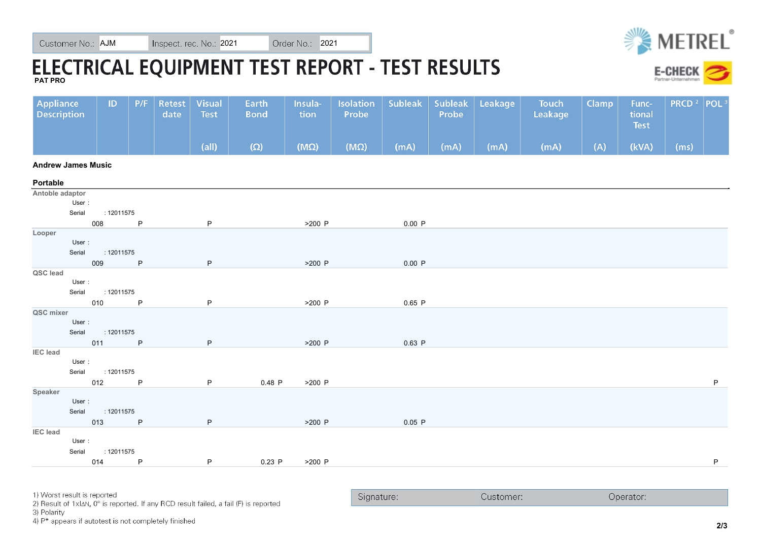3) Polarity

4) P\* appears if autotest is not completely finished

| Appliance  <br><b>Description</b>                                                                                   |                 | <b>D</b>                 | $\mathbf{r}/\mathbf{r}$ | <b>Refere</b><br>date | VISUdi<br><b>Test</b>     | Edi UT<br><b>Bond</b> | <b>INSUR-</b><br>tion | <u>isolation</u><br>Probe | <b>SUDIGAK</b> | <b>SUDIEAK</b><br>Probe | Leakage l | Touch<br>Leakage | Clamp | <b>Func</b><br>tional<br><b>Test</b> | $P_{\text{NUD}}$ $P_{\text{UL}}$ |   |
|---------------------------------------------------------------------------------------------------------------------|-----------------|--------------------------|-------------------------|-----------------------|---------------------------|-----------------------|-----------------------|---------------------------|----------------|-------------------------|-----------|------------------|-------|--------------------------------------|----------------------------------|---|
|                                                                                                                     |                 |                          |                         |                       | $\left(\text{all}\right)$ | $(\Omega)$            | $(M\Omega)$           | $(M\Omega)$               | (mA)           | (mA)                    | (mA)      | (mA)             | (A)   | (kVA)                                | (ms)                             |   |
| <b>Andrew James Music</b>                                                                                           |                 |                          |                         |                       |                           |                       |                       |                           |                |                         |           |                  |       |                                      |                                  |   |
| Portable                                                                                                            |                 |                          |                         |                       |                           |                       |                       |                           |                |                         |           |                  |       |                                      |                                  |   |
| Antoble adaptor                                                                                                     |                 |                          |                         |                       |                           |                       |                       |                           |                |                         |           |                  |       |                                      |                                  |   |
|                                                                                                                     | User:           |                          |                         |                       |                           |                       |                       |                           |                |                         |           |                  |       |                                      |                                  |   |
|                                                                                                                     | Serial          | : 12011575               |                         |                       |                           |                       |                       |                           |                |                         |           |                  |       |                                      |                                  |   |
|                                                                                                                     |                 | 008                      | P                       |                       | P                         |                       | $>200$ P              |                           | 0.00 P         |                         |           |                  |       |                                      |                                  |   |
| Looper                                                                                                              |                 |                          |                         |                       |                           |                       |                       |                           |                |                         |           |                  |       |                                      |                                  |   |
|                                                                                                                     | User:<br>Serial | : 12011575               |                         |                       |                           |                       |                       |                           |                |                         |           |                  |       |                                      |                                  |   |
|                                                                                                                     |                 | 009                      | P                       |                       | $\mathsf{P}$              |                       | $>200$ P              |                           | 0.00 P         |                         |           |                  |       |                                      |                                  |   |
| QSC lead                                                                                                            |                 |                          |                         |                       |                           |                       |                       |                           |                |                         |           |                  |       |                                      |                                  |   |
|                                                                                                                     | User:           |                          |                         |                       |                           |                       |                       |                           |                |                         |           |                  |       |                                      |                                  |   |
|                                                                                                                     | Serial          | : 12011575               |                         |                       |                           |                       |                       |                           |                |                         |           |                  |       |                                      |                                  |   |
|                                                                                                                     |                 | 010                      | P                       |                       | P                         |                       | $>200$ P              |                           | $0.65$ P       |                         |           |                  |       |                                      |                                  |   |
| QSC mixer                                                                                                           |                 |                          |                         |                       |                           |                       |                       |                           |                |                         |           |                  |       |                                      |                                  |   |
|                                                                                                                     | User:           |                          |                         |                       |                           |                       |                       |                           |                |                         |           |                  |       |                                      |                                  |   |
|                                                                                                                     | Serial          | : 12011575               |                         |                       |                           |                       |                       |                           |                |                         |           |                  |       |                                      |                                  |   |
|                                                                                                                     |                 | 011                      | P                       |                       | P                         |                       | $>200$ P              |                           | $0.63$ P       |                         |           |                  |       |                                      |                                  |   |
| <b>IEC</b> lead                                                                                                     |                 |                          |                         |                       |                           |                       |                       |                           |                |                         |           |                  |       |                                      |                                  |   |
|                                                                                                                     | User:           |                          |                         |                       |                           |                       |                       |                           |                |                         |           |                  |       |                                      |                                  |   |
|                                                                                                                     |                 | Serial : 12011575<br>012 | P                       |                       | P                         | $0.48$ P              |                       |                           |                |                         |           |                  |       |                                      |                                  | P |
| Speaker                                                                                                             |                 |                          |                         |                       |                           |                       | $>200$ P              |                           |                |                         |           |                  |       |                                      |                                  |   |
|                                                                                                                     | User:           |                          |                         |                       |                           |                       |                       |                           |                |                         |           |                  |       |                                      |                                  |   |
|                                                                                                                     | Serial          | : 12011575               |                         |                       |                           |                       |                       |                           |                |                         |           |                  |       |                                      |                                  |   |
|                                                                                                                     |                 | 013                      | P                       |                       | P                         |                       | $>200$ P              |                           | $0.05$ P       |                         |           |                  |       |                                      |                                  |   |
| <b>IEC</b> lead                                                                                                     |                 |                          |                         |                       |                           |                       |                       |                           |                |                         |           |                  |       |                                      |                                  |   |
|                                                                                                                     | User:           |                          |                         |                       |                           |                       |                       |                           |                |                         |           |                  |       |                                      |                                  |   |
|                                                                                                                     | Serial          | :12011575                |                         |                       |                           |                       |                       |                           |                |                         |           |                  |       |                                      |                                  |   |
|                                                                                                                     |                 | 014                      | $\mathsf P$             |                       | P                         | $0.23$ P              | $>200$ P              |                           |                |                         |           |                  |       |                                      |                                  | P |
|                                                                                                                     |                 |                          |                         |                       |                           |                       |                       |                           |                |                         |           |                  |       |                                      |                                  |   |
|                                                                                                                     |                 |                          |                         |                       |                           |                       |                       |                           |                |                         |           |                  |       |                                      |                                  |   |
| 1) Worst result is reported<br>2) Result of 1xIAN, 0° is reported. If any RCD result failed, a fail (F) is reported |                 |                          |                         |                       |                           |                       |                       | Signature:                |                |                         | Customer: |                  |       | Operator:                            |                                  |   |

# **ELECTRICAL EQUIPMENT TEST REPORT - TEST RESULTS**

 $\left| \right|$  in  $\left| \right|$   $\left| \right|$   $\left| \right|$   $\left| \right|$   $\left| \right|$   $\left| \right|$   $\left| \right|$   $\left| \right|$   $\left| \right|$   $\left| \right|$   $\left| \right|$   $\left| \right|$   $\left| \right|$   $\left| \right|$   $\left| \right|$   $\left| \right|$   $\left| \right|$   $\left| \right|$   $\left| \right|$   $\left| \right|$   $\left| \right|$   $\left| \right|$   $\left| \right|$   $\$ 

**TANK AND THE REAL** 



 $\overline{P}$